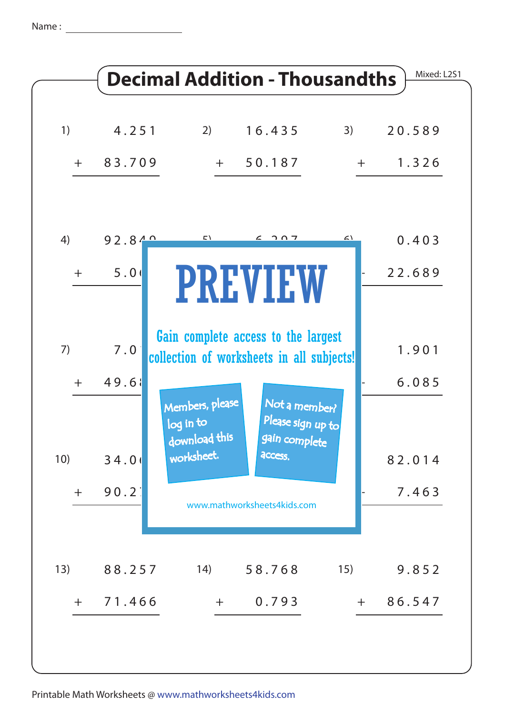Name: